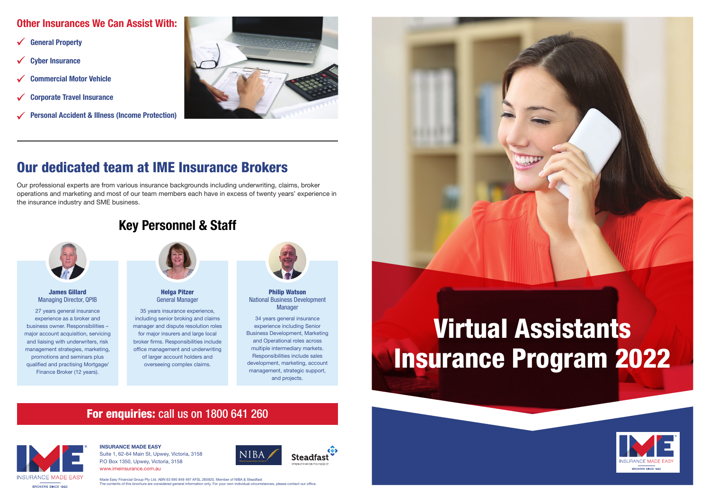# Virtual Assistants Insurance Program 2022

#### **INSURANCE MADE EASY** P.O Box 1350, Upwey, Victoria, 3158

Suite 1, 62-64 Main St, Upwey, Victoria, 3158 www.imeinsurance.com.au







#### Made Easy Financial Group Pty Ltd. ABN 63 695 849 497 AFSL 285920. Member of NIBA & Steadfast The contents of this brochure are considered general information only. For your own individual circumstances, please contact our office.



## For enquiries: call us on 1800 641 260



#### James Gillard Managing Director, QPIB

#### Philip Watson National Business Development **Manager**

27 years general insurance experience as a broker and business owner. Responsibilities – major account acquisition, servicing and liaising with underwriters, risk management strategies, marketing, promotions and seminars plus qualified and practising Mortgage/ Finance Broker (12 years).

#### Helga Pitzer General Manager

- $\checkmark$ **General Property**
- $\checkmark$ **Cyber Insurance**
- **Commercial Motor Vehicle**
- $\checkmark$ **Corporate Travel Insurance**
- **Personal Accident & Illness (Income Protection)**



35 years insurance experience, including senior broking and claims manager and dispute resolution roles for major insurers and large local broker firms. Responsibilities include office management and underwriting of larger account holders and overseeing complex claims.



34 years general insurance experience including Senior Business Development, Marketing and Operational roles across multiple intermediary markets. Responsibilities include sales development, marketing, account management, strategic support, and projects.

## Our dedicated team at IME Insurance Brokers

Our professional experts are from various insurance backgrounds including underwriting, claims, broker operations and marketing and most of our team members each have in excess of twenty years' experience in the insurance industry and SME business.



#### **Other Insurances We Can Assist With:**

## **Key Personnel & Staff**